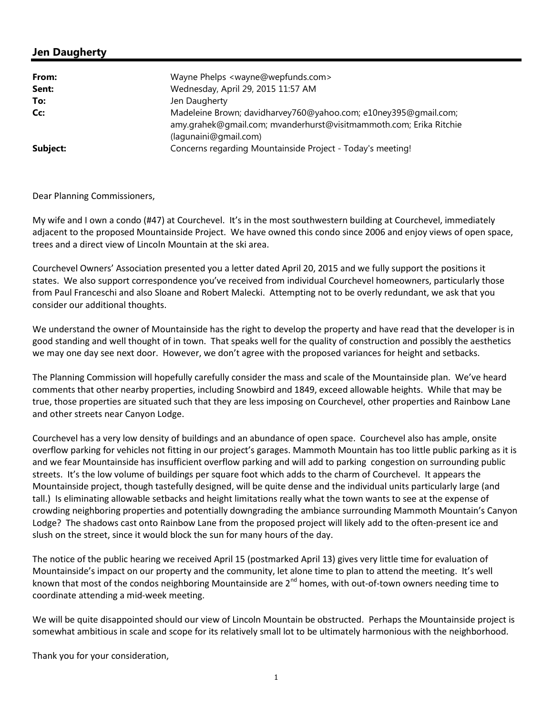## **Jen Daugherty**

| From:    | Wayne Phelps <wayne@wepfunds.com></wayne@wepfunds.com>                                                                                                         |
|----------|----------------------------------------------------------------------------------------------------------------------------------------------------------------|
| Sent:    | Wednesday, April 29, 2015 11:57 AM                                                                                                                             |
| To:      | Jen Daugherty                                                                                                                                                  |
| Cc:      | Madeleine Brown; davidharvey760@yahoo.com; e10ney395@gmail.com;<br>amy.grahek@gmail.com; mvanderhurst@visitmammoth.com; Erika Ritchie<br>(lagunaini@gmail.com) |
| Subject: | Concerns regarding Mountainside Project - Today's meeting!                                                                                                     |

Dear Planning Commissioners,

My wife and I own a condo (#47) at Courchevel. It's in the most southwestern building at Courchevel, immediately adjacent to the proposed Mountainside Project. We have owned this condo since 2006 and enjoy views of open space, trees and a direct view of Lincoln Mountain at the ski area.

Courchevel Owners' Association presented you a letter dated April 20, 2015 and we fully support the positions it states. We also support correspondence you've received from individual Courchevel homeowners, particularly those from Paul Franceschi and also Sloane and Robert Malecki. Attempting not to be overly redundant, we ask that you consider our additional thoughts.

We understand the owner of Mountainside has the right to develop the property and have read that the developer is in good standing and well thought of in town. That speaks well for the quality of construction and possibly the aesthetics we may one day see next door. However, we don't agree with the proposed variances for height and setbacks.

The Planning Commission will hopefully carefully consider the mass and scale of the Mountainside plan. We've heard comments that other nearby properties, including Snowbird and 1849, exceed allowable heights. While that may be true, those properties are situated such that they are less imposing on Courchevel, other properties and Rainbow Lane and other streets near Canyon Lodge.

Courchevel has a very low density of buildings and an abundance of open space. Courchevel also has ample, onsite overflow parking for vehicles not fitting in our project's garages. Mammoth Mountain has too little public parking as it is and we fear Mountainside has insufficient overflow parking and will add to parking congestion on surrounding public streets. It's the low volume of buildings per square foot which adds to the charm of Courchevel. It appears the Mountainside project, though tastefully designed, will be quite dense and the individual units particularly large (and tall.) Is eliminating allowable setbacks and height limitations really what the town wants to see at the expense of crowding neighboring properties and potentially downgrading the ambiance surrounding Mammoth Mountain's Canyon Lodge? The shadows cast onto Rainbow Lane from the proposed project will likely add to the often-present ice and slush on the street, since it would block the sun for many hours of the day.

The notice of the public hearing we received April 15 (postmarked April 13) gives very little time for evaluation of Mountainside's impact on our property and the community, let alone time to plan to attend the meeting. It's well known that most of the condos neighboring Mountainside are  $2^{nd}$  homes, with out-of-town owners needing time to coordinate attending a mid-week meeting.

We will be quite disappointed should our view of Lincoln Mountain be obstructed. Perhaps the Mountainside project is somewhat ambitious in scale and scope for its relatively small lot to be ultimately harmonious with the neighborhood.

Thank you for your consideration,